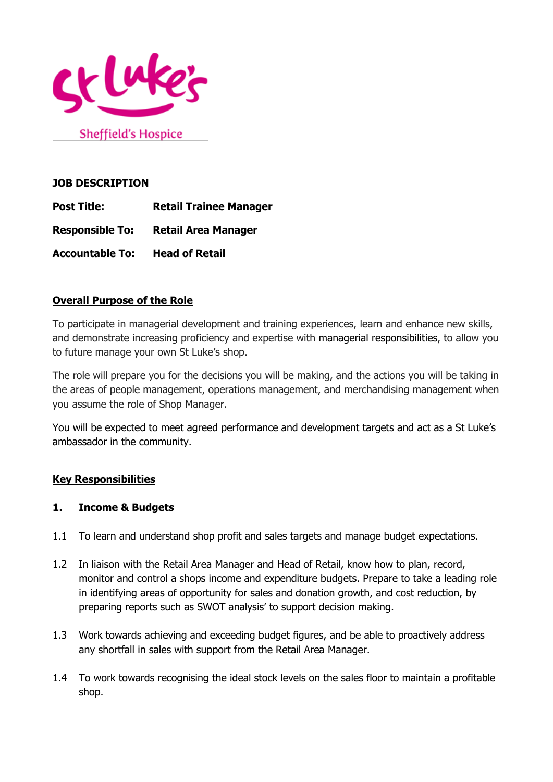

**Sheffield's Hospice** 

#### **JOB DESCRIPTION**

- **Post Title: Retail Trainee Manager**
- **Responsible To: Retail Area Manager**
- **Accountable To: Head of Retail**

# **Overall Purpose of the Role**

To participate in managerial development and training experiences, learn and enhance new skills, and demonstrate increasing proficiency and expertise with managerial responsibilities, to allow you to future manage your own St Luke's shop.

The role will prepare you for the decisions you will be making, and the actions you will be taking in the areas of people management, operations management, and merchandising management when you assume the role of Shop Manager.

You will be expected to meet agreed performance and development targets and act as a St Luke's ambassador in the community.

# **Key Responsibilities**

# **1. Income & Budgets**

- 1.1 To learn and understand shop profit and sales targets and manage budget expectations.
- 1.2 In liaison with the Retail Area Manager and Head of Retail, know how to plan, record, monitor and control a shops income and expenditure budgets. Prepare to take a leading role in identifying areas of opportunity for sales and donation growth, and cost reduction, by preparing reports such as SWOT analysis' to support decision making.
- 1.3 Work towards achieving and exceeding budget figures, and be able to proactively address any shortfall in sales with support from the Retail Area Manager.
- 1.4 To work towards recognising the ideal stock levels on the sales floor to maintain a profitable shop.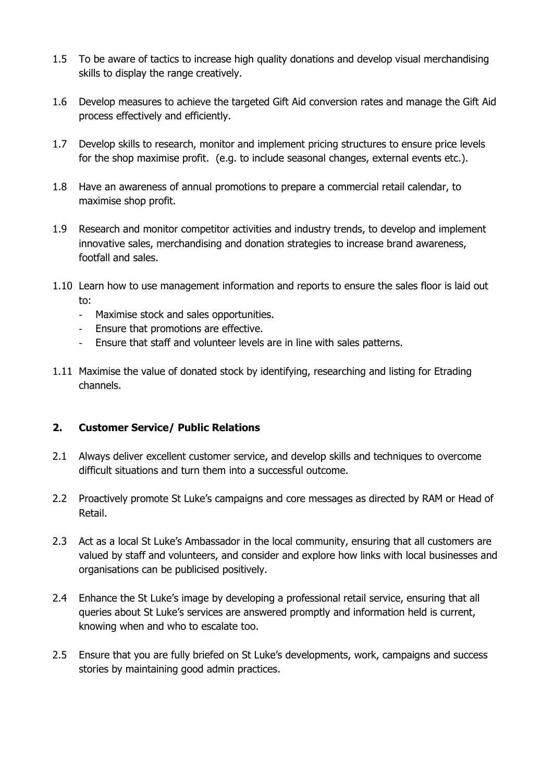- 1.5 To be aware of tactics to increase high quality donations and develop visual merchandising skills to display the range creatively.
- 1.6 Develop measures to achieve the targeted Gift Aid conversion rates and manage the Gift Aid process effectively and efficiently.
- 1.7 Develop skills to research, monitor and implement pricing structures to ensure price levels for the shop maximise profit. (e.g. to include seasonal changes, external events etc.).
- 1.8 Have an awareness of annual promotions to prepare a commercial retail calendar, to maximise shop profit.
- 1.9 Research and monitor competitor activities and industry trends, to develop and implement innovative sales, merchandising and donation strategies to increase brand awareness, footfall and sales.
- 1.10 Learn how to use management information and reports to ensure the sales floor is laid out to:
	- Maximise stock and sales opportunities.
	- Ensure that promotions are effective.
	- Ensure that staff and volunteer levels are in line with sales patterns.
- 1.11 Maximise the value of donated stock by identifying, researching and listing for Etrading channels.

# **2. Customer Service/ Public Relations**

- 2.1 Always deliver excellent customer service, and develop skills and techniques to overcome difficult situations and turn them into a successful outcome.
- 2.2 Proactively promote St Luke's campaigns and core messages as directed by RAM or Head of Retail.
- 2.3 Act as a local St Luke's Ambassador in the local community, ensuring that all customers are valued by staff and volunteers, and consider and explore how links with local businesses and organisations can be publicised positively.
- 2.4 Enhance the St Luke's image by developing a professional retail service, ensuring that all queries about St Luke's services are answered promptly and information held is current, knowing when and who to escalate too.
- 2.5 Ensure that you are fully briefed on St Luke's developments, work, campaigns and success stories by maintaining good admin practices.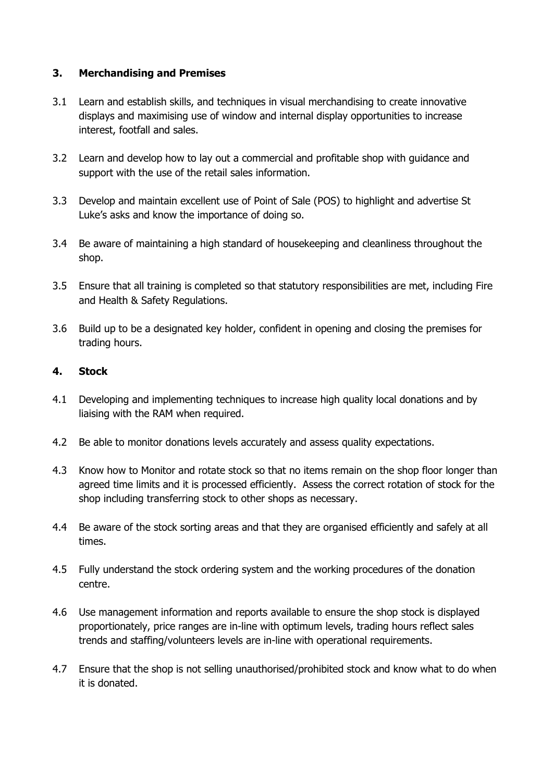# **3. Merchandising and Premises**

- 3.1 Learn and establish skills, and techniques in visual merchandising to create innovative displays and maximising use of window and internal display opportunities to increase interest, footfall and sales.
- 3.2 Learn and develop how to lay out a commercial and profitable shop with guidance and support with the use of the retail sales information.
- 3.3 Develop and maintain excellent use of Point of Sale (POS) to highlight and advertise St Luke's asks and know the importance of doing so.
- 3.4 Be aware of maintaining a high standard of housekeeping and cleanliness throughout the shop.
- 3.5 Ensure that all training is completed so that statutory responsibilities are met, including Fire and Health & Safety Regulations.
- 3.6 Build up to be a designated key holder, confident in opening and closing the premises for trading hours.

# **4. Stock**

- 4.1 Developing and implementing techniques to increase high quality local donations and by liaising with the RAM when required.
- 4.2 Be able to monitor donations levels accurately and assess quality expectations.
- 4.3 Know how to Monitor and rotate stock so that no items remain on the shop floor longer than agreed time limits and it is processed efficiently. Assess the correct rotation of stock for the shop including transferring stock to other shops as necessary.
- 4.4 Be aware of the stock sorting areas and that they are organised efficiently and safely at all times.
- 4.5 Fully understand the stock ordering system and the working procedures of the donation centre.
- 4.6 Use management information and reports available to ensure the shop stock is displayed proportionately, price ranges are in-line with optimum levels, trading hours reflect sales trends and staffing/volunteers levels are in-line with operational requirements.
- 4.7 Ensure that the shop is not selling unauthorised/prohibited stock and know what to do when it is donated.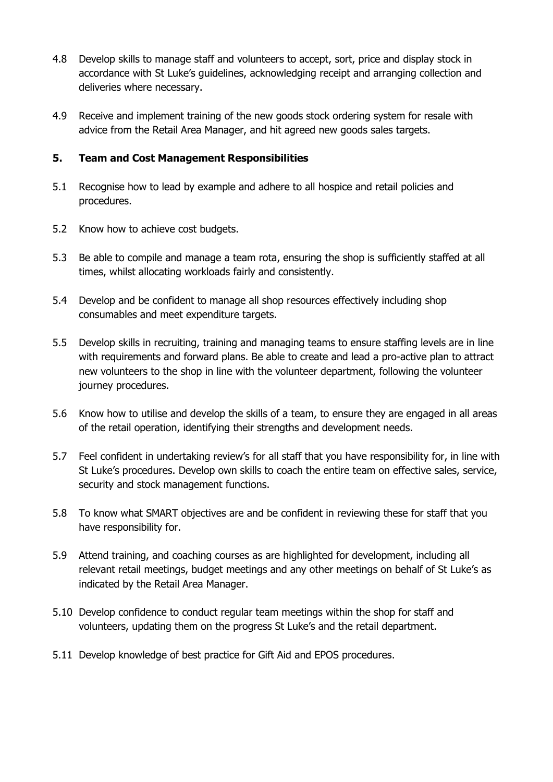- 4.8 Develop skills to manage staff and volunteers to accept, sort, price and display stock in accordance with St Luke's guidelines, acknowledging receipt and arranging collection and deliveries where necessary.
- 4.9 Receive and implement training of the new goods stock ordering system for resale with advice from the Retail Area Manager, and hit agreed new goods sales targets.

# **5. Team and Cost Management Responsibilities**

- 5.1 Recognise how to lead by example and adhere to all hospice and retail policies and procedures.
- 5.2 Know how to achieve cost budgets.
- 5.3 Be able to compile and manage a team rota, ensuring the shop is sufficiently staffed at all times, whilst allocating workloads fairly and consistently.
- 5.4 Develop and be confident to manage all shop resources effectively including shop consumables and meet expenditure targets.
- 5.5 Develop skills in recruiting, training and managing teams to ensure staffing levels are in line with requirements and forward plans. Be able to create and lead a pro-active plan to attract new volunteers to the shop in line with the volunteer department, following the volunteer journey procedures.
- 5.6 Know how to utilise and develop the skills of a team, to ensure they are engaged in all areas of the retail operation, identifying their strengths and development needs.
- 5.7 Feel confident in undertaking review's for all staff that you have responsibility for, in line with St Luke's procedures. Develop own skills to coach the entire team on effective sales, service, security and stock management functions.
- 5.8 To know what SMART objectives are and be confident in reviewing these for staff that you have responsibility for.
- 5.9 Attend training, and coaching courses as are highlighted for development, including all relevant retail meetings, budget meetings and any other meetings on behalf of St Luke's as indicated by the Retail Area Manager.
- 5.10 Develop confidence to conduct regular team meetings within the shop for staff and volunteers, updating them on the progress St Luke's and the retail department.
- 5.11 Develop knowledge of best practice for Gift Aid and EPOS procedures.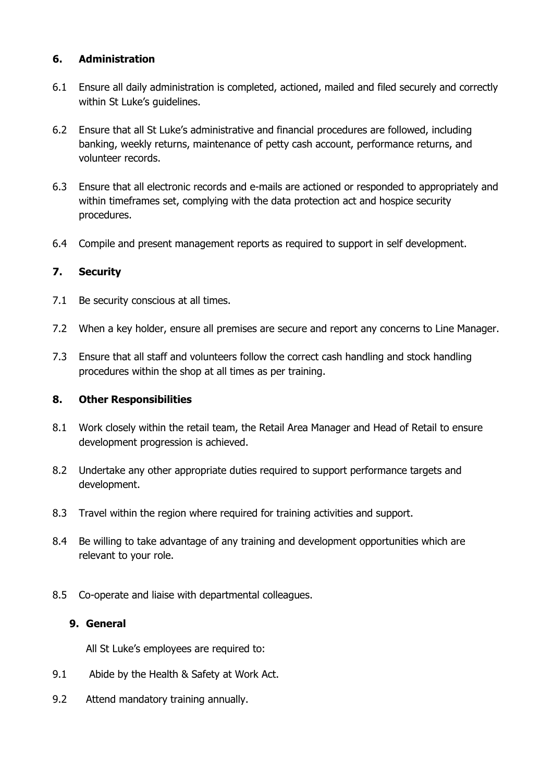# **6. Administration**

- 6.1 Ensure all daily administration is completed, actioned, mailed and filed securely and correctly within St Luke's quidelines.
- 6.2 Ensure that all St Luke's administrative and financial procedures are followed, including banking, weekly returns, maintenance of petty cash account, performance returns, and volunteer records.
- 6.3 Ensure that all electronic records and e-mails are actioned or responded to appropriately and within timeframes set, complying with the data protection act and hospice security procedures.
- 6.4 Compile and present management reports as required to support in self development.

# **7. Security**

- 7.1 Be security conscious at all times.
- 7.2 When a key holder, ensure all premises are secure and report any concerns to Line Manager.
- 7.3 Ensure that all staff and volunteers follow the correct cash handling and stock handling procedures within the shop at all times as per training.

# **8. Other Responsibilities**

- 8.1 Work closely within the retail team, the Retail Area Manager and Head of Retail to ensure development progression is achieved.
- 8.2 Undertake any other appropriate duties required to support performance targets and development.
- 8.3 Travel within the region where required for training activities and support.
- 8.4 Be willing to take advantage of any training and development opportunities which are relevant to your role.
- 8.5 Co-operate and liaise with departmental colleagues.

#### **9. General**

All St Luke's employees are required to:

- 9.1 Abide by the Health & Safety at Work Act.
- 9.2 Attend mandatory training annually.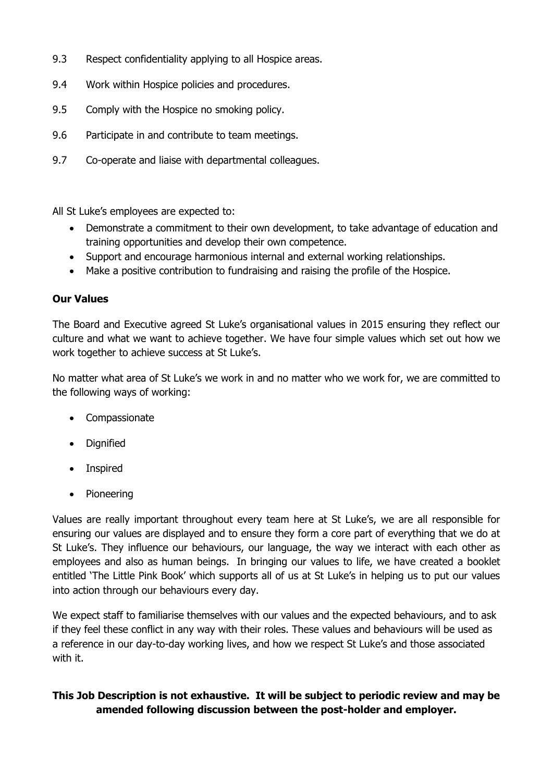- 9.3 Respect confidentiality applying to all Hospice areas.
- 9.4 Work within Hospice policies and procedures.
- 9.5 Comply with the Hospice no smoking policy.
- 9.6 Participate in and contribute to team meetings.
- 9.7 Co-operate and liaise with departmental colleagues.

All St Luke's employees are expected to:

- Demonstrate a commitment to their own development, to take advantage of education and training opportunities and develop their own competence.
- Support and encourage harmonious internal and external working relationships.
- Make a positive contribution to fundraising and raising the profile of the Hospice.

# **Our Values**

The Board and Executive agreed St Luke's organisational values in 2015 ensuring they reflect our culture and what we want to achieve together. We have four simple values which set out how we work together to achieve success at St Luke's.

No matter what area of St Luke's we work in and no matter who we work for, we are committed to the following ways of working:

- Compassionate
- Dignified
- Inspired
- Pioneering

Values are really important throughout every team here at St Luke's, we are all responsible for ensuring our values are displayed and to ensure they form a core part of everything that we do at St Luke's. They influence our behaviours, our language, the way we interact with each other as employees and also as human beings. In bringing our values to life, we have created a booklet entitled 'The Little Pink Book' which supports all of us at St Luke's in helping us to put our values into action through our behaviours every day.

We expect staff to familiarise themselves with our values and the expected behaviours, and to ask if they feel these conflict in any way with their roles. These values and behaviours will be used as a reference in our day-to-day working lives, and how we respect St Luke's and those associated with it.

# **This Job Description is not exhaustive. It will be subject to periodic review and may be amended following discussion between the post-holder and employer.**